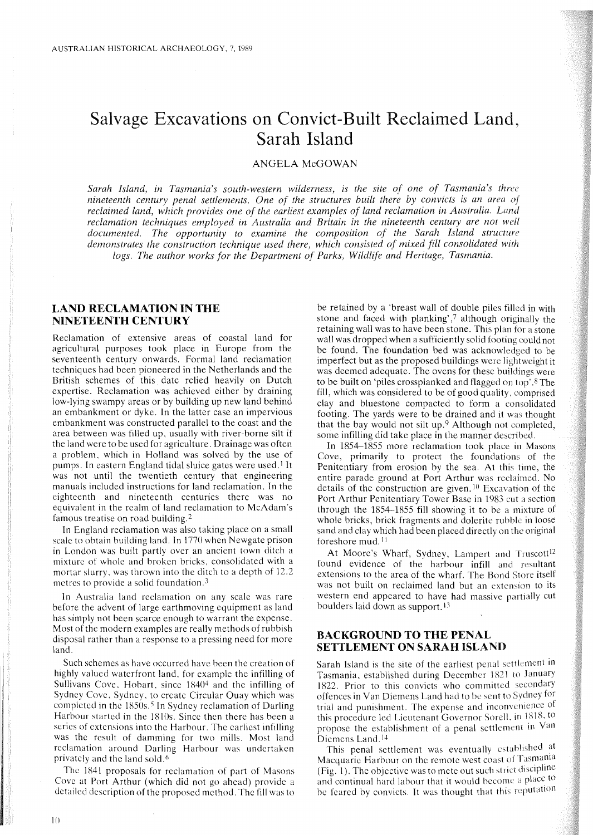# **Salvage Excavations on Convict-Built Reclaimed Land, Sarah Island**

# ANGELA McGOWAN

*Sarah Island, in Tasmania's south-western wilderness, is the site of one of Tasmania's three nineteenth century penal settlements. One of the structures built there by convicts is an area of reclaimed land, which provides one of the earliest examples of land reclamation in Australia. Land reclamation techniques employed in Australia and Britain in the nineteenth century are not well documented. The opportunity to examine the composition of the Sarah Island structure demonstrates the construction technique used there, which consisted of mixed fill consolidated with logs. The author works for the Department of Parks, Wildlife and Heritage, Tasmania.*

# **LAND RECLAMATION IN THE NINETEENTH CENTURY**

Reclamation of extensive areas of coastal land for agricultural purposes took place in Europe from the seventeenth century onwards. Formal land reclamation techniques had been pioneered in the Netherlands and the British schemes of this date relied heavily on Dutch expertise. Reclamation was achieved either by draining low-lying swampy areas or by building up new land behind an embankment or dyke. In the latter case an impervious embankment was constructed parallel to the coast and the area between was filled up, usually with river-borne silt if the land were to be used for agriculture. Drainage was often a problem, which in Holland was solved by the use of pumps. In eastern England tidal sluice gates were used.! It was not until the twentieth century that engineering manuals included instructions for land reclamation. In the eighteenth and nineteenth centuries there was no equivalent in the realm of land reclamation to McAdam's famous treatise on road building. 2

In England rcclamation was also taking place on a small scale to obtain building land. In 1770 when Newgate prison in London was built partly over an ancient town ditch a mixture of whole and broken bricks, consolidated with a mortar slurry, was thrown into the ditch to a depth of 12.2 metres to provide a solid foundation.3

In Australia land reclamation on any scale was rare before the advent of large earthmoving equipment as land has simply not been scarce enough to warrant the expense. Most of the modern examples are really methods of rubbish disposal rather than a response to a pressing need for more land.

Such schemes as have occurred have been the creation of highly valued waterfront land, for example the infilling of Sullivans Cove, Hobart, since  $1840<sup>4</sup>$  and the infilling of Sydney Covc, Sydney, to create Circular Quay which was completed in the 1850s.<sup>5</sup> In Sydney reclamation of Darling Harbour started in the 1810s. Since then there has been a series of extensions into the Harbour. The earliest infilling was the result of damming for two mills. Most land reclamation around Darling Harbour was undertaken privately and the land sold.<sup>6</sup>

The 1841 proposals for reclamation of part of Masons Cove at Port Arthur (which did not go ahead) provide a detailed description of the proposed method. The fill was to be retained by a 'breast wall of double piles filled in with stone and faced with planking',7 although originally the retaining wall was to have been stone. This plan for a stone wall was dropped when a sufficiently solid footing could not be found. The foundation bed was acknowledged to be imperfect but as the proposed buildings were lightweight it was deemed adequate. The ovens for these buildings were to be built on 'piles crossplanked and flagged on top'. 8 The fill, which was considered to be of good quality. comprised clay and bluestone compacted to form a consolidated footing. The yards were to be drained and it was thought that the bay would not silt up.9 Although not completed, some infilling did take place in the manner described.

In 1854-1855 more reclamation took place in Masons Cove, primarily to protect the foundations of the Penitentiary from erosion by the sea. At this time, the entire parade ground at Port Arthur was reclaimed. No details of the construction are given.<sup>10</sup> Excavation of the Port Arthur Penitentiary Tower Base in 1983 cut a section through the 1854-1855 fill showing it to be a mixture of whole bricks, brick fragments and dolerite rubble in loose sand and clay which had been placed directly on the original foreshore mud. <sup>11</sup>

At Moore's Wharf, Sydney, Lampert and Truscott<sup>12</sup> found evidence of the harbour infill and resultant extensions to the area of the wharf. The Bond Store itself was not built on reclaimed land but an extension to its western end appeared to have had massive partially cut boulders laid down as support. 13

#### BACKGROUND TO THE PENAL **SETTLEMENT ON SARAH ISLAND**

Sarah Island is the site of the earliest penal settlement in Tasmania, established during December 1821 to January 1822. Prior to this convicts who committed secondary offences in Van Diemens Land had to be sent to Sydney for trial and punishment. The expense and inconvenience of this procedure led Lieutenant Governor Sorell, in 1818, to propose the establishment of a penal settlement in Van Diemens Land.<sup>14</sup>

This penal settlement was eventually established at Macquarie Harbour on the remote west coast of Tasmania (Fig. 1). The objective was to mete out such strict discipline and continual hard labour that it would become a place to be feared by convicts. It was thought that this reputation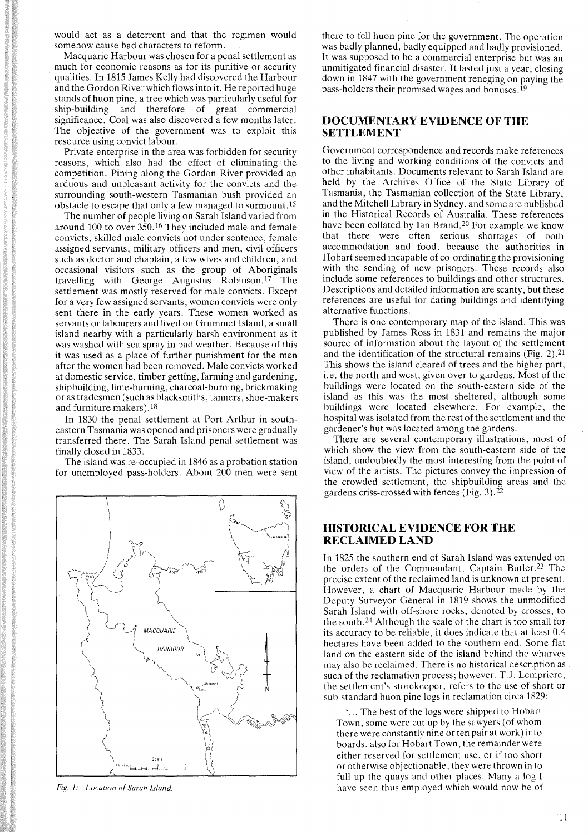would act as a deterrent and that the regimen would somehow cause bad characters to reform.

Macquarie Harbour was chosen for a penal settlement as much for economic reasons as for its punitive or security qualities. In 1815 James Kelly had discovered the Harbour and the Gordon River which flows into it. He reported huge stands of huon pine, a tree which was particularly useful for ship-building and therefore of great commercial significance. Coal was also discovered a few months later. The objective of the government was to exploit this resource using convict labour.

Private enterprise in the area was forbidden for security reasons, which also had the effect of eliminating the competition. Pining along the Gordon River provided an arduous and unpleasant activity for the convicts and the surrounding south-western Tasmanian bush provided an obstacle to escape that only a few managed to surmount. *IS*

The number of people living on Sarah Island varied from around 100 to over 350. 16 They included male and female convicts, skilled male convicts not under sentence, female assigned servants, military officers and men, civil officers such as doctor and chaplain, a few wives and children, and occasional visitors such as the group of Aboriginals travelling with George Augustus Robinson. 1? The settlement was mostly reserved for male convicts. Except for a very few assigned servants, women convicts were only sent there in the early years. These women worked as servants or labourers and lived on Grummet Island, a small island nearby with a particularly harsh environment as it was washed with sea spray in bad weather. Because of this it was used as a place of further punishment for the men after the women had been removed. Male convicts worked at domestic service, timber getting, farming and gardening, shipbuilding, lime-burning, charcoal-burning, brickmaking or as tradesmen (such as blacksmiths, tanners, shoe-makers and furniture makers).18

In 1830 the penal settlement at Port Arthur in southeastern Tasmania was opened and prisoners were gradually transferred there. The Sarah Island penal settlement was finally closed in 1833.

The island was re-occupied in 1846 as a probation station for unemployed pass-holders. About 200 men were sent



*Fig. I: Location of Sarah Island.*

there to fell huon pine for the government. The operation was badly planned, badly equipped and badly provisioned. It was supposed to be a commercial enterprise but was an unmitigated financial disaster. It lasted just a year, closing down in 1847 with the government reneging on paying the pass-holders their promised wages and bonuses.<sup>19</sup>

### DOCUMENTARY EVIDENCE OF THE SETTLEMENT

Government correspondence and records make references to the living and working conditions of the convicts and other inhabitants. Documents relevant to Sarah Island are held by the Archives Office of the State Library of Tasmania, the Tasmanian collection of the State Library, and the Mitchell Library in Sydney, and some are published in the Historical Records of Australia. These references have been collated by Ian Brand.<sup>20</sup> For example we know that there were often serious shortages of both accommodation and food, because the authorities in Hobart seemed incapable of co-ordinating the provisioning with the sending of new prisoners. These records also include some references to buildings and other structures. Descriptions and detailed information are scanty, but these references are useful for dating buildings and identifying alternative functions.

There is one contemporary map of the island. This was published by James Ross in 1831 and remains the major source of information about the layout of the settlement and the identification of the structural remains (Fig. 2).21 This shows the island cleared of trees and the higher part, i.e. the north and west, given over to gardens. Most of the buildings were located on the south-eastern side of the island as this was the most sheltered, although some buildings were located elsewhere. For example, the hospital was isolated from the rest of the settlement and the gardener's hut was located among the gardens.

There are several contemporary illustrations, most of which show the view from the south-eastern side of the island, undoubtedly the most interesting from the point of view of the artists. The pictures convey the impression of the crowded settlement, the shipbuilding areas and the gardens criss-crossed with fences (Fig. 3).22

# HISTORICAL EVIDENCE FOR THE RECLAIMED LAND

In 1825 the southern end of Sarah Island was extended on the orders of the Commandant, Captain Butler.23 The precise extent of the reclaimed land is unknown at present. However, a chart of Macquarie Harbour made by the Deputy Surveyor General in 1819 shows the unmodified Sarah Island with off-shore rocks, denoted by crosses, to the south. 24 Although the scale of the chart is too small for its accuracy to be reliable, it does indicate that at least 0.4 hectares have been added to the southern end. Some flat land on the eastern side of the island behind the wharves may also be reclaimed. There is no historical description as such of the reclamation process; however, T.J. Lempriere, the settlement's storekeeper, refers to the use of short or sub-standard huon pine logs in reclamation circa 1829:

 ... The best of the logs were shipped to Hobart Town, some were cut up by the sawyers (of whom there were constantly nine or ten pair at work) into boards, also for Hobart Town, the remainder were either reserved for settlement use, or if too short or otherwise objectionable, they were thrown in to full up the quays and other places. Many a log I have seen thus employed which would now be of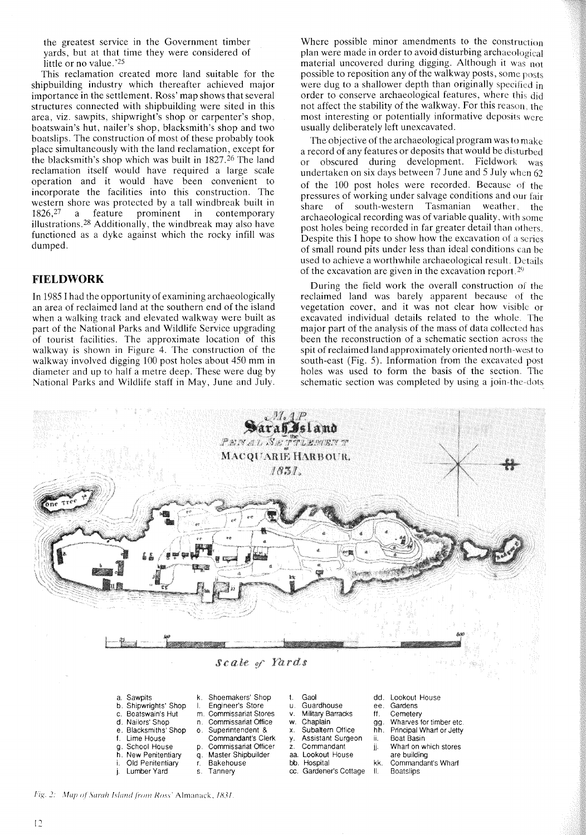the greatest service in the Government timber yards, but at that time they were considered of little or no value.'25

This reclamation created more land suitable for the shipbuilding industry which thereafter achieved major importance in the settlement. Ross' map shows that several structures connected with shipbuilding were sited in this area, viz. sawpits, shipwright's shop or carpenter's shop, boatswain's hut, nailer's shop, blacksmith's shop and two boatslips. The construction of most of these probably took place simultaneously with the land reclamation, except for the blacksmith's shop which was built in 1827.<sup>26</sup> The land reclamation itself would have required a large scale operation and it would have been convenient to incorporate the facilities into this construction. The western shore was protected by a tall windbreak built in  $1826<sup>27</sup>$  a feature prominent in contemporary a feature prominent in contemporary illustrations. <sup>28</sup> Additionally, the windbreak may also have functioned as a dyke against which the rocky infill was dumped.

#### **FIELDWORK**

**In** 1985 I had the opportunity of examining archaeologically an area of reclaimed land at the southern end of the island when a walking track and elevated walkway were built as part of the National Parks and Wildlife Service upgrading of tourist facilities. The approximate location of this walkway is shown in Figure 4. The construction of the walkway involved digging 100 post holes about 450 mm in diameter and up to half a metre deep. These were dug by National Parks and Wildlife staff in May, June and July.

Where possible minor amendments to the construction plan were made in order to avoid disturbing archaeological material uncovered during digging. Although it was not possible to reposition any of the walkway posts, some posts were dug to a shallower depth than originally specified in order to conserve archaeological features, where this did not affect the stability of the walkway. For this reason, the most interesting or potentially informative deposits were usually deliberately left unexcavated.

The objective of the archaeological program was to make a record of any features or deposits that would be disturbed or obscured during development. Fieldwork was undertaken on six days between 7 June and 5 July when 62 of the 100 post holes were recorded. Because of the pressures of working under salvage conditions and our fair share of south-western Tasmanian weather, the archaeological recording was of variable quality, with some post holes being recorded in far greater detail than others. Despite this I hope to show how the excavation of a series of small round pits under less than ideal conditions can bc used to achieve a worthwhile archaeological result. Details of the excavation are given in the excavation report. <sup>29</sup>

During the field work the overall construction of the reclaimed land was barely apparent because of the vegetation cover, and it was not clear how visible or excavated individual details related to the whole. The major part of the analysis of the mass of data collected has been the reconstruction of a schematic section across the spit of reclaimed land approximately oriented north-west to south-east (Fig. 5). Information from the excavated post holes was used to form the basis of the section. The schematic section was completed by using a join-the-dots



| a. Sawpits<br>b. Shipwrights' Shop |    | k. Shoemakers' Shop     |                        |     |                              |
|------------------------------------|----|-------------------------|------------------------|-----|------------------------------|
|                                    |    |                         | Gaol                   |     | dd. Lookout House            |
|                                    |    | Engineer's Store        | u. Guardhouse          |     | ee. Gardens                  |
| c. Boatswain's Hut                 |    | m. Commissariat Stores  | v. Military Barracks   | ff. | Cemetery                     |
| d. Nailors' Shop                   |    | n. Commissariat Office  | w. Chaplain            | aa. | Wharves for timber etc.      |
| e. Blacksmiths' Shop               |    | o. Superintendent &     | x. Subaltern Office    |     | hh. Principal Wharf or Jetty |
| f. Lime House                      |    | Commandant's Clerk      | y. Assistant Surgeon   |     | Boat Basin                   |
| g. School House                    |    | p. Commissariat Officer | z. Commandant          |     | Wharf on which stores        |
| h. New Penitentiary                |    | g. Master Shipbuilder   | aa. Lookout House      |     | are building                 |
| Old Penitentiary                   |    | Bakehouse               | bb. Hospital           | kk. | Commandant's Wharf           |
| Lumber Yard                        | S. | Tannery                 | cc. Gardener's Cottage | H.  | <b>Boatslips</b>             |

*Fig.* 2: *Map of Sarah Island from Ross'* Almanack, *1831.*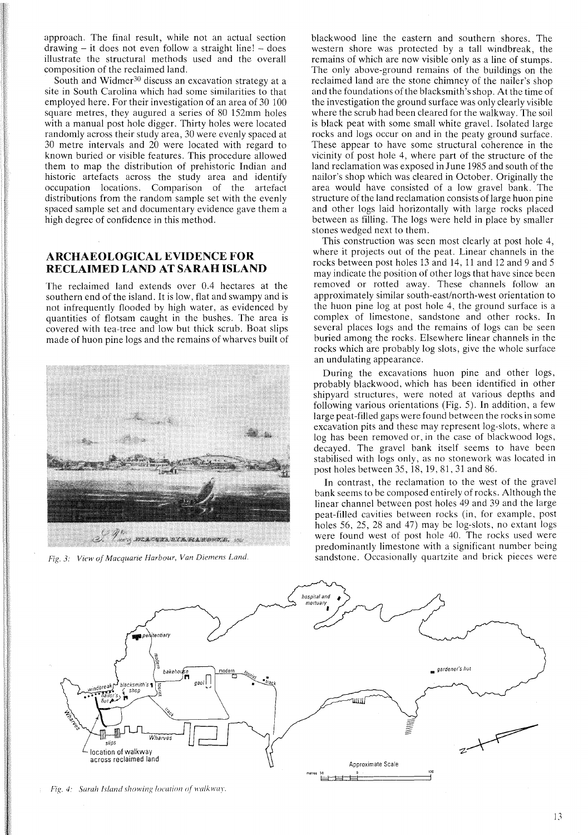approach. The final result, while not an actual section  $d$ rawing – it does not even follow a straight line! – does illustrate the structural methods used and the overall composition of the reclaimed land.

South and Widmer<sup>30</sup> discuss an excavation strategy at a site in South Carolina which had some similarities to that employed here. For their investigation of an area of 30 100 square metres, they augured a series of 80 152mm holes with a manual post hole digger. Thirty holes were located randomly across their study area, 30 were evenly spaced at 30 metre intervals and 20 were located with regard to known buried or visible features. This procedure allowed them to map the distribution of prehistoric Indian and historic artefacts across the study area and identify occupation locations. Comparison of the artefact distributions from the random sample set with the evenly spaced sample set and documentary evidence gave them a high degree of confidence in this method.

# **ARCHAEOLOGICAL EVIDENCE FOR RECLAIMED LAND AT SARAH ISLAND**

The reclaimed land extends over 0.4 hectares at the southern end of the island. It is low, flat and swampy and is not infrequently flooded by high water, as evidenced by quantities of flotsam caught in the bushes. The area is covered with tea-tree and low but thick scrub. Boat slips made of huon pine logs and the remains of wharves built of



*Fig.* 3: *View of Macquarie Harbour, Van Diemens Land.*

blackwood line the eastern and southern shores. The western shore was protected by a tall windbreak, the remains of which are now visible only as a line of stumps. The only above-ground remains of the buildings on the reclaimed land are the stone chimney of the nailer's shop and the foundations of the blacksmith's shop. At the time of the investigation the ground surface was only clearly visible where the scrub had been cleared for the walkway. The soil is black peat with some small white gravel. Isolated large rocks and logs occur on and in the peaty ground surface. These appear to have some structural coherence in the vicinity of post hole 4, where part of the structure of the land reclamation was exposed in June 1985 and south of the nailor's shop which was cleared in October. Originally the area would have consisted of a low gravel bank. The structure of the land reclamation consists of large huon pine and other logs laid horizontally with large rocks placed between as filling. The logs were held in place by smaller stones wedged next to them.

This construction was seen most clearly at post hole 4, where it projects out of the peat. Linear channels in the rocks between post holes 13 and 14, 11 and 12 and 9 and 5 may indicate the position of other logs that have since been removed or rotted away. These channels follow an approximately similar south-east/north-west orientation to the huon pine log at post hole 4, the ground surface is a complex of limestone, sandstone and other rocks. **In** several places logs and the remains of logs can be seen buried among the rocks. Elsewhere linear channels in the rocks which are probably log slots, give the whole surface an undulating appearance.

During the excavations huon pine and other logs, probably blackwood, which has been identified in other shipyard structures, were noted at various depths and following various orientations (Fig. 5). **In** addition, a few large peat-filled gaps were found between the rocks in some excavation pits and these may represent log-slots, where a log has been removed or, in the case of blackwood logs, decayed. The gravel bank itself seems to have been stabilised with logs only, as no stonework was located in post holes between 35,18,19,81,31 and 86.

**In** contrast, the reclamation to the west of the gravel bank seems to be composed entirely of rocks. Although the linear channel between post holes 49 and 39 and the large peat-filled cavities between rocks (in, for example, post holes 56, 25, 28 and 47) may be log-slots, no extant logs were found west of post hole 40. The rocks used were predominantly limestone with a significant number being sandstone. Occasionally quartzite and brick pieces were



*Fig. 4: Sarah Island showing location of walkway.*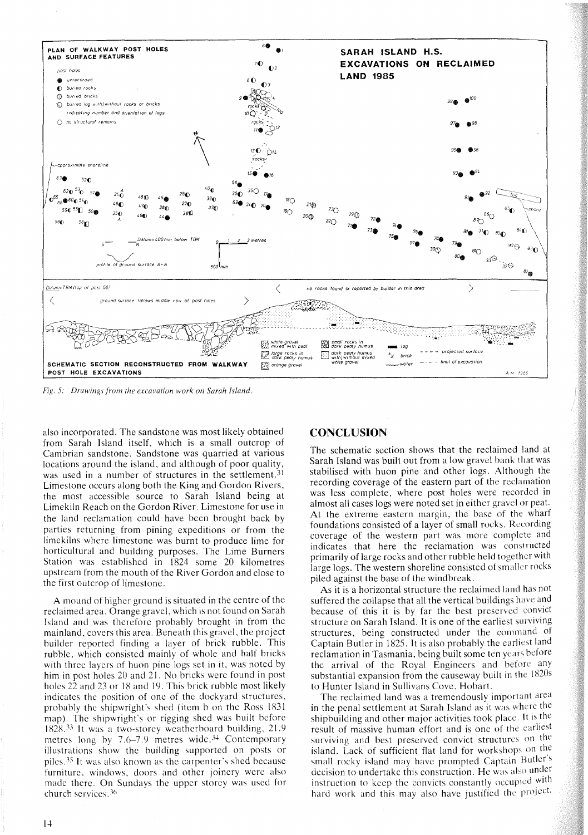

Fig. 5: Drawings from the excavation work on Sarah Island.

also incorporated. The sandstone was most likely obtained from Sarah Island itself, which is a small outcrop of Cambrian sandstone. Sandstone was quarried at various locations around the island, and although of poor quality, was used in a number of structures in the settlement.<sup>31</sup> Limestone occurs along both the King and Gordon Rivers, the most accessible source to Sarah Island being at Limekiln Reach on the Gordon River. Limestone for use in the land reclamation could have been brought back by parties returning from pining expeditions or from the limekilns where limestone was burnt to produce lime for horticultural and building purposes. The Lime Burners Station was established in 1824 some 20 kilometres upstream from the mouth of the River Gordon and close to the first outcrop of limestone.

A mound of higher ground is situated in the centre of the reclaimed area. Orange gravel, which is not found on Sarah Island and was therefore probably brought in from the mainland, covers this area. Beneath this gravel, the project builder reported finding a layer of brick rubble. This rubble, which consisted mainly of whole and half bricks with three layers of huon pine logs set in it, was noted by him in post holes 20 and 21. No bricks were found in post holes 22 and 23 or 18 and 19. This brick rubble most likely indicates the position of one of the dockyard structures, probably the shipwright's shed (item b on the Ross 1831) map). The shipwright's or rigging shed was built before 1828.<sup>33</sup> It was a two-storey weatherboard building, 21.9 metres long by 7.6-7.9 metres wide.<sup>34</sup> Contemporary illustrations show the building supported on posts or piles.<sup>35</sup> It was also known as the carpenter's shed because furniture, windows, doors and other joinery were also made there. On Sundays the upper storey was used for church services.<sup>36</sup>

# **CONCLUSION**

The schematic section shows that the reclaimed land at Sarah Island was built out from a low gravel bank that was stabilised with huon pine and other logs. Although the recording coverage of the eastern part of the reclamation was less complete, where post holes were recorded in almost all cases logs were noted set in either gravel or peat. At the extreme eastern margin, the base of the wharf foundations consisted of a layer of small rocks. Recording coverage of the western part was more complete and indicates that here the reclamation was constructed primarily of large rocks and other rubble held together with large logs. The western shoreline consisted of smaller rocks piled against the base of the windbreak.

As it is a horizontal structure the reclaimed land has not suffered the collapse that all the vertical buildings have and because of this it is by far the best preserved convict structure on Sarah Island. It is one of the earliest surviving structures, being constructed under the command of Captain Butler in 1825. It is also probably the earliest land reclamation in Tasmania, being built some ten years before the arrival of the Royal Engineers and before any substantial expansion from the causeway built in the 1820s to Hunter Island in Sullivans Cove, Hobart.

The reclaimed land was a tremendously important area in the penal settlement at Sarah Island as it was where the shipbuilding and other major activities took place. It is the result of massive human effort and is one of the earliest surviving and best preserved convict structures on the island. Lack of sufficient flat land for workshops on the small rocky island may have prompted Captain Butler's decision to undertake this construction. He was also under instruction to keep the convicts constantly occupied with hard work and this may also have justified the project.